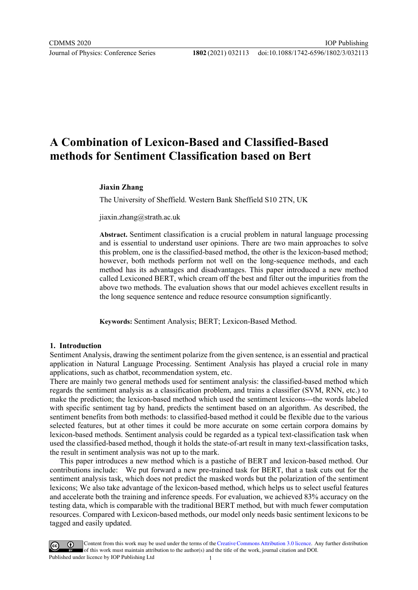# A Combination of Lexicon-Based and Classified-Based methods for Sentiment Classification based on Bert

### Jiaxin Zhang

The University of Sheffield. Western Bank Sheffield S10 2TN, UK

jiaxin.zhang@strath.ac.uk

Abstract. Sentiment classification is a crucial problem in natural language processing and is essential to understand user opinions. There are two main approaches to solve this problem, one is the classified-based method, the other is the lexicon-based method; however, both methods perform not well on the long-sequence methods, and each method has its advantages and disadvantages. This paper introduced a new method called Lexiconed BERT, which cream off the best and filter out the impurities from the above two methods. The evaluation shows that our model achieves excellent results in the long sequence sentence and reduce resource consumption significantly.

Keywords: Sentiment Analysis; BERT; Lexicon-Based Method.

### 1. Introduction

Sentiment Analysis, drawing the sentiment polarize from the given sentence, is an essential and practical application in Natural Language Processing. Sentiment Analysis has played a crucial role in many applications, such as chatbot, recommendation system, etc.

There are mainly two general methods used for sentiment analysis: the classified-based method which regards the sentiment analysis as a classification problem, and trains a classifier (SVM, RNN, etc.) to make the prediction; the lexicon-based method which used the sentiment lexicons---the words labeled with specific sentiment tag by hand, predicts the sentiment based on an algorithm. As described, the sentiment benefits from both methods: to classified-based method it could be flexible due to the various selected features, but at other times it could be more accurate on some certain corpora domains by lexicon-based methods. Sentiment analysis could be regarded as a typical text-classification task when used the classified-based method, though it holds the state-of-art result in many text-classification tasks, the result in sentiment analysis was not up to the mark.

This paper introduces a new method which is a pastiche of BERT and lexicon-based method. Our contributions include: We put forward a new pre-trained task for BERT, that a task cuts out for the sentiment analysis task, which does not predict the masked words but the polarization of the sentiment lexicons; We also take advantage of the lexicon-based method, which helps us to select useful features and accelerate both the training and inference speeds. For evaluation, we achieved 83% accuracy on the testing data, which is comparable with the traditional BERT method, but with much fewer computation resources. Compared with Lexicon-based methods, our model only needs basic sentiment lexicons to be tagged and easily updated.

Content from this work may be used under the terms of the Creative Commons Attribution 3.0 licence. Any further distribution of this work must maintain attribution to the author(s) and the title of the work, journal citation and DOI. Published under licence by IOP Publishing Ltd 1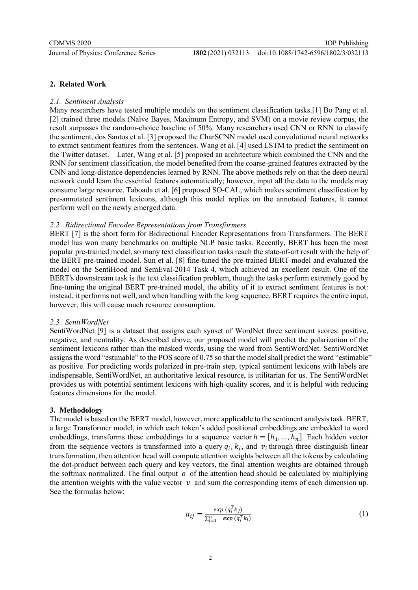### 2. Related Work

### 2.1. Sentiment Analysis

Many researchers have tested multiple models on the sentiment classification tasks.[1] Bo Pang et al. [2] trained three models (Naïve Bayes, Maximum Entropy, and SVM) on a movie review corpus, the result surpasses the random-choice baseline of 50%. Many researchers used CNN or RNN to classify the sentiment, dos Santos et al. [3] proposed the CharSCNN model used convolutional neural networks to extract sentiment features from the sentences. Wang et al. [4] used LSTM to predict the sentiment on the Twitter dataset. Later, Wang et al. [5] proposed an architecture which combined the CNN and the RNN for sentiment classification, the model benefited from the coarse-grained features extracted by the CNN and long-distance dependencies learned by RNN. The above methods rely on that the deep neural network could learn the essential features automatically; however, input all the data to the models may consume large resource. Taboada et al. [6] proposed SO-CAL, which makes sentiment classification by pre-annotated sentiment lexicons, although this model replies on the annotated features, it cannot perform well on the newly emerged data.

### 2.2. Bidirectional Encoder Representations from Transformers

BERT [7] is the short form for Bidirectional Encoder Representations from Transformers. The BERT model has won many benchmarks on multiple NLP basic tasks. Recently, BERT has been the most popular pre-trained model, so many text classification tasks reach the state-of-art result with the help of the BERT pre-trained model. Sun et al. [8] fine-tuned the pre-trained BERT model and evaluated the model on the SentiHood and SemEval-2014 Task 4, which achieved an excellent result. One of the BERT's downstream task is the text classification problem, though the tasks perform extremely good by fine-tuning the original BERT pre-trained model, the ability of it to extract sentiment features is not: instead, it performs not well, and when handling with the long sequence, BERT requires the entire input, however, this will cause much resource consumption.

# 2.3. SentiWordNet

SentiWordNet [9] is a dataset that assigns each synset of WordNet three sentiment scores: positive, negative, and neutrality. As described above, our proposed model will predict the polarization of the sentiment lexicons rather than the masked words, using the word from SentiWordNet. SentiWordNet assigns the word "estimable" to the POS score of 0.75 so that the model shall predict the word "estimable" as positive. For predicting words polarized in pre-train step, typical sentiment lexicons with labels are indispensable, SentiWordNet, an authoritative lexical resource, is utilitarian for us. The SentiWordNet provides us with potential sentiment lexicons with high-quality scores, and it is helpful with reducing features dimensions for the model.

# 3. Methodology

The model is based on the BERT model, however, more applicable to the sentiment analysis task. BERT, a large Transformer model, in which each token's added positional embeddings are embedded to word embeddings, transforms these embeddings to a sequence vector  $h = [h_1, ..., h_n]$ . Each hidden vector from the sequence vectors is transformed into a query  $q_i$ ,  $k_i$ , and  $v_i$  through three distinguish linear transformation, then attention head will compute attention weights between all the tokens by calculating the dot-product between each query and key vectors, the final attention weights are obtained through the softmax normalized. The final output  $\rho$  of the attention head should be calculated by multiplying the attention weights with the value vector  $\nu$  and sum the corresponding items of each dimension up. See the formulas below:

$$
a_{ij} = \frac{\exp\left(q_i^T k_j\right)}{\sum_{l=1}^n \exp\left(q_l^T k_l\right)}\tag{1}
$$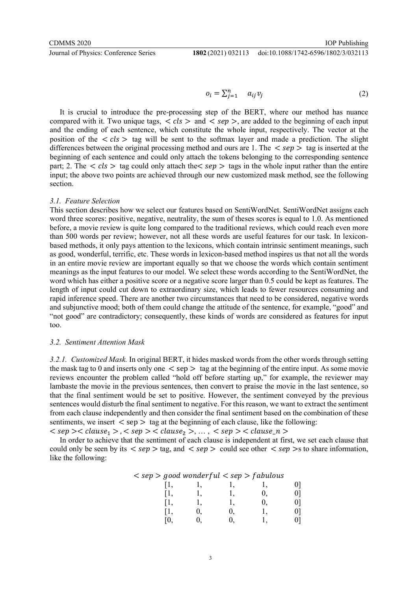**Journal of Physics: Conference Series** 

doi:10.1088/1742-6596/1802/3/032113

$$
o_i = \sum_{j=1}^n a_{ij} v_j \tag{2}
$$

It is crucial to introduce the pre-processing step of the BERT, where our method has nuance compared with it. Two unique tags,  $\langle$  cls  $\rangle$  and  $\langle$  sep  $\rangle$ , are added to the beginning of each input and the ending of each sentence, which constitute the whole input, respectively. The vector at the position of the  $\langle$  cls  $\rangle$  tag will be sent to the softmax layer and made a prediction. The slight differences between the original processing method and ours are 1. The  $\langle$  sep  $\rangle$  tag is inserted at the beginning of each sentence and could only attach the tokens belonging to the corresponding sentence part; 2. The  $\langle$  cls  $\rangle$  tag could only attach the  $\langle$  sep  $\rangle$  tags in the whole input rather than the entire input; the above two points are achieved through our new customized mask method, see the following section.

#### 3.1. Feature Selection

This section describes how we select our features based on SentiWordNet. SentiWordNet assigns each word three scores: positive, negative, neutrality, the sum of theses scores is equal to 1.0. As mentioned before, a movie review is quite long compared to the traditional reviews, which could reach even more than 500 words per review; however, not all these words are useful features for our task. In lexiconbased methods, it only pays attention to the lexicons, which contain intrinsic sentiment meanings, such as good, wonderful, terrific, etc. These words in lexicon-based method inspires us that not all the words in an entire movie review are important equally so that we choose the words which contain sentiment meanings as the input features to our model. We select these words according to the SentiWordNet, the word which has either a positive score or a negative score larger than 0.5 could be kept as features. The length of input could cut down to extraordinary size, which leads to fewer resources consuming and rapid inference speed. There are another two circumstances that need to be considered, negative words and subjunctive mood; both of them could change the attitude of the sentence, for example, "good" and "not good" are contradictory; consequently, these kinds of words are considered as features for input too.

#### 3.2. Sentiment Attention Mask

3.2.1. Customized Mask. In original BERT, it hides masked words from the other words through setting the mask tag to 0 and inserts only one  $\langle$  sep  $\rangle$  tag at the beginning of the entire input. As some movie reviews encounter the problem called "hold off before starting up," for example, the reviewer may lambaste the movie in the previous sentences, then convert to praise the movie in the last sentence, so that the final sentiment would be set to positive. However, the sentiment conveyed by the previous sentences would disturb the final sentiment to negative. For this reason, we want to extract the sentiment from each clause independently and then consider the final sentiment based on the combination of these sentiments, we insert  $\langle$  sep  $\rangle$  tag at the beginning of each clause, like the following:

 $\langle$  sep  $\rangle$   $\langle$  clause<sub>1</sub>  $\rangle$ ,  $\langle$  sep  $\rangle$   $\langle$  clause<sub>2</sub>  $\rangle$ , ...,  $\langle$  sep  $\rangle$   $\langle$  clause<sub>2</sub>  $\rangle$ 

In order to achieve that the sentiment of each clause is independent at first, we set each clause that could only be seen by its  $\langle$  sep  $\rangle$  tag, and  $\langle$  sep  $\rangle$  could see other  $\langle$  sep  $\rangle$ s to share information, like the following:

| $\langle$ sep $\rangle$ good wonderful $\langle$ sep $\rangle$ fabulous |  |
|-------------------------------------------------------------------------|--|
|-------------------------------------------------------------------------|--|

| [1, | ı, | 1, | l, | 0] |
|-----|----|----|----|----|
| [1, | 1, | 1, | 0, | 0] |
| [1, | 1, | 1, | 0, | 0] |
| [1, | 0, | 0, | 1, | 0] |
| [0, | 0, | 0, |    | 0] |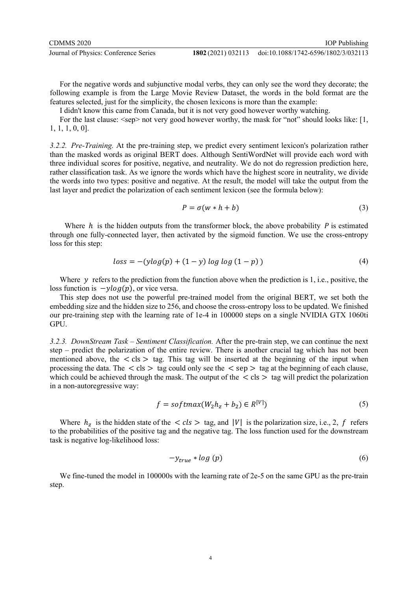doi:10.1088/1742-6596/1802/3/032113

For the negative words and subjunctive modal verbs, they can only see the word they decorate; the following example is from the Large Movie Review Dataset, the words in the bold format are the features selected, just for the simplicity, the chosen lexicons is more than the example:

I didn't know this came from Canada, but it is not very good however worthy watching.

For the last clause:  $\langle$ sep> not very good however worthy, the mask for "not" should looks like: [1, 1, 1, 1, 0, 0].

3.2.2. Pre-Training. At the pre-training step, we predict every sentiment lexicon's polarization rather than the masked words as original BERT does. Although SentiWordNet will provide each word with three individual scores for positive, negative, and neutrality. We do not do regression prediction here, rather classification task. As we ignore the words which have the highest score in neutrality, we divide the words into two types: positive and negative. At the result, the model will take the output from the last layer and predict the polarization of each sentiment lexicon (see the formula below):

$$
P = \sigma(w * h + b) \tag{3}
$$

Where  $h$  is the hidden outputs from the transformer block, the above probability  $P$  is estimated through one fully-connected layer, then activated by the sigmoid function. We use the cross-entropy loss for this step:

$$
loss = -(ylog(p) + (1 - y) log log (1 - p))
$$
\n(4)

Where  $y$  refers to the prediction from the function above when the prediction is 1, i.e., positive, the loss function is  $-\gamma log(p)$ , or vice versa.

This step does not use the powerful pre-trained model from the original BERT, we set both the embedding size and the hidden size to 256, and choose the cross-entropy loss to be updated. We finished our pre-training step with the learning rate of 1e-4 in 100000 steps on a single NVIDIA GTX 1060ti GPU.

3.2.3. DownStream Task – Sentiment Classification. After the pre-train step, we can continue the next step – predict the polarization of the entire review. There is another crucial tag which has not been mentioned above, the  $\langle$  cls  $\rangle$  tag. This tag will be inserted at the beginning of the input when processing the data. The  $\langle$  cls  $\rangle$  tag could only see the  $\langle$  sep  $\rangle$  tag at the beginning of each clause, which could be achieved through the mask. The output of the  $\langle$  cls  $\rangle$  tag will predict the polarization in a non-autoregressive way:

$$
f = softmax(W_2h_z + b_2) \in R^{[V]})
$$
\n
$$
(5)
$$

Where  $h_z$  is the hidden state of the  $\langle$  cls  $\rangle$  tag, and |V| is the polarization size, i.e., 2, f refers to the probabilities of the positive tag and the negative tag. The loss function used for the downstream task is negative log-likelihood loss:

$$
-y_{true} * log(p) \tag{6}
$$

We fine-tuned the model in 100000s with the learning rate of 2e-5 on the same GPU as the pre-train step.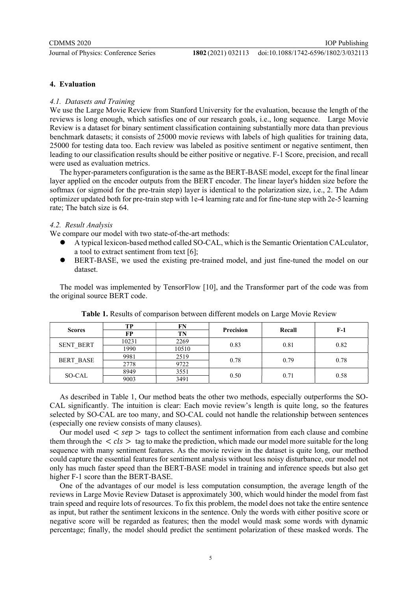# 4. Evaluation

# 4.1. Datasets and Training

We use the Large Movie Review from Stanford University for the evaluation, because the length of the reviews is long enough, which satisfies one of our research goals, i.e., long sequence. Large Movie Review is a dataset for binary sentiment classification containing substantially more data than previous benchmark datasets; it consists of 25000 movie reviews with labels of high qualities for training data, 25000 for testing data too. Each review was labeled as positive sentiment or negative sentiment, then leading to our classification results should be either positive or negative. F-1 Score, precision, and recall were used as evaluation metrics.

The hyper-parameters configuration is the same as the BERT-BASE model, except for the final linear layer applied on the encoder outputs from the BERT encoder. The linear layer's hidden size before the softmax (or sigmoid for the pre-train step) layer is identical to the polarization size, i.e., 2. The Adam optimizer updated both for pre-train step with 1e-4 learning rate and for fine-tune step with 2e-5 learning rate; The batch size is 64.

# 4.2. Result Analysis

We compare our model with two state-of-the-art methods:

- A typical lexicon-based method called SO-CAL, which is the Semantic Orientation CALculator, a tool to extract sentiment from text [6];
- BERT-BASE, we used the existing pre-trained model, and just fine-tuned the model on our dataset.

The model was implemented by TensorFlow [10], and the Transformer part of the code was from the original source BERT code.

| <b>Scores</b>    | тp    | FN    | <b>Precision</b> | Recall | $F-1$ |
|------------------|-------|-------|------------------|--------|-------|
|                  | FP    | TN    |                  |        |       |
| <b>SENT BERT</b> | 10231 | 2269  | 0.83             | 0.81   | 0.82  |
|                  | 1990  | 10510 |                  |        |       |
| <b>BERT BASE</b> | 9981  | 2519  | 0.78             | 0.79   | 0.78  |
|                  | 2778  | 9722  |                  |        |       |
| SO-CAL           | 8949  | 3551  | 0.50             | 0.71   | 0.58  |
|                  | 9003  | 3491  |                  |        |       |

Table 1. Results of comparison between different models on Large Movie Review

As described in Table 1, Our method beats the other two methods, especially outperforms the SO-CAL significantly. The intuition is clear: Each movie review's length is quite long, so the features selected by SO-CAL are too many, and SO-CAL could not handle the relationship between sentences (especially one review consists of many clauses).

Our model used  $\langle$  sep  $\rangle$  tags to collect the sentiment information from each clause and combine them through the  $\langle$  cls  $\rangle$  tag to make the prediction, which made our model more suitable for the long sequence with many sentiment features. As the movie review in the dataset is quite long, our method could capture the essential features for sentiment analysis without less noisy disturbance, our model not only has much faster speed than the BERT-BASE model in training and inference speeds but also get higher F-1 score than the BERT-BASE.

One of the advantages of our model is less computation consumption, the average length of the reviews in Large Movie Review Dataset is approximately 300, which would hinder the model from fast train speed and require lots of resources. To fix this problem, the model does not take the entire sentence as input, but rather the sentiment lexicons in the sentence. Only the words with either positive score or negative score will be regarded as features; then the model would mask some words with dynamic percentage; finally, the model should predict the sentiment polarization of these masked words. The